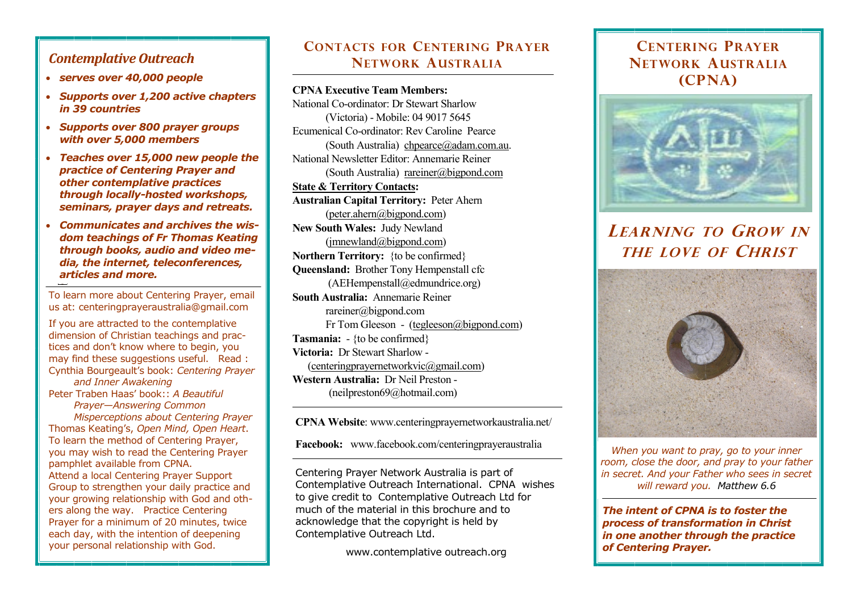### *Contemplative Outreach*

- *serves over 40,000 people*
- *Supports over 1,200 active chapters in 39 countries*
- *Supports over 800 prayer groups with over 5,000 members*
- *Teaches over 15,000 new people the practice of Centering Prayer and other contemplative practices through locally-hosted workshops, seminars, prayer days and retreats.*
- *Communicates and archives the wisdom teachings of Fr Thomas Keating through books, audio and video media, the internet, teleconferences, articles and more.*

To learn more about Centering Prayer, email us at: centeringprayeraustralia@gmail.com

If you are attracted to the contemplative dimension of Christian teachings and practices and don't know where to begin, you may find these suggestions useful. Read : [Cynthia Bourgeault](http://www.bookdepository.com/author/Cynthia-Bourgeault)'s book: *Centering Prayer and Inner Awakening*  Peter Traben Haas' book:: *A Beautiful Prayer—Answering Common* 

 *Misperceptions about Centering Prayer* Thomas Keating's, *[Open Mind, Open Heart](http://www.contemplativeoutreach.org/node/485)*. To learn the method of Centering Prayer, you may wish to read the [Centering Prayer](http://www.contemplativeoutreach.org/sites/default/files/documents/methodcp2008.pdf) pamphlet available from CPNA. Attend a [local Centering Prayer Support](http://www.contemplativeoutreach.org/community)  [Group](http://www.contemplativeoutreach.org/community) to strengthen your daily practice and your growing relationship with God and others along the way. Practice Centering Prayer for a minimum of 20 minutes, twice each day, with the intention of deepening your personal relationship with God.

## **CONTACTS FOR CENTERING PRAYER NETWORK AUSTRALIA**

#### **CPNA Executive Team Members:**

National Co-ordinator: Dr Stewart Sharlow (Victoria) - Mobile: 04 9017 5645 Ecumenical Co-ordinator: Rev Caroline Pearce (South Australia) [chpearce@adam.com.au.](mailto:chpearce@adam.com.au) National Newsletter Editor: Annemarie Reiner (South Australia) rareiner@bigpond.com **State & Territory Contacts: Australian Capital Territory:** Peter Ahern [\(peter.ahern@bigpond.com\)](mailto:peter.ahern@bigpond.com) **New South Wales:** Judy Newland  $(imnewland@bigpond.com)$ **Northern Territory:** {to be confirmed} **Queensland:** Brother Tony Hempenstall cfc (AEHempenstall@edmundrice.org) **South Australia:** Annemarie Reiner rareiner@bigpond.com Fr Tom Gleeson - [\(tegleeson@bigpond.com\)](mailto:tegleeson@bigpond.com) **Tasmania:** - {to be confirmed} **Victoria:** Dr Stewart Sharlow - ([centeringprayernetworkvic@gmail.com\)](mailto:centeringprayernetworkvic@gmail.com) **Western Australia:** Dr Neil Preston - (neilpreston69@hotmail.com)

**CPNA Website**: www.centeringprayernetworkaustralia.net/

**Facebook:** www.facebook.com/centeringprayeraustralia

Centering Prayer Network Australia is part of Contemplative Outreach International. CPNA wishes to give credit to Contemplative Outreach Ltd for much of the material in this brochure and to acknowledge that the copyright is held by Contemplative Outreach Ltd.

www.contemplative outreach.org

## **CENTERING PRAYER NETWORK AUSTRALIA (CPNA)**



# **LEARNING TO GROW IN THE LOVE OF CHRIST**



*When you want to pray, go to your inner room, close the door, and pray to your father in secret. And your Father who sees in secret will reward you. Matthew 6.6*

*The intent of CPNA is to foster the process of transformation in Christ in one another through the practice of Centering Prayer.*